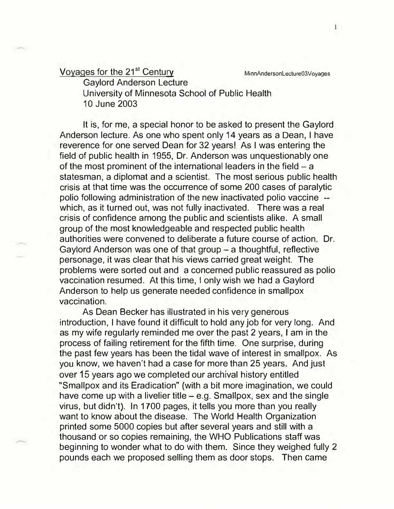Voyages for the 21<sup>st</sup> Century MinnAndersonLecture03Voyages

Gaylord Anderson Lecture University of Minnesota School of Public Health 10 June 2003

It is, for me, a special honor to be asked to present the Gaylord Anderson lecture. As one who spent only 14 years as a Dean, I have reverence for one served Dean for 32 years! As I was entering the field of public health in 1955, Dr. Anderson was unquestionably one of the most prominent of the international leaders in the field  $-$  a statesman, a diplomat and a scientist. The most serious public health crisis at that time was the occurrence of some 200 cases of paralytic polio following administration of the new inactivated polio vaccine which, as it turned out, was not fully inactivated. There was a real crisis of confidence among the public and scientists alike. A small group of the most knowledgeable and respected public health authorities were convened to deliberate a future course of action. Dr. Gaylord Anderson was one of that group - a thoughtful, reflective personage, it was clear that his views carried great weight. The problems were sorted out and a concerned public reassured as polio vaccination resumed. At this time, I only wish we had a Gaylord Anderson to help us generate needed confidence in smallpox vaccination.

As Dean Becker has illustrated in his very generous introduction, I have found it difficult to hold any job for very long. And as my wife regularly reminded me over the past 2 years, I am in the process of failing retirement for the fifth time. One surprise, during the past few years has been the tidal wave of interest in smallpox. As you know, we haven't had a case for more than 25 years. And just over 15 years ago we completed our archival history entitled "Smallpox and its Eradication" (with a bit more imagination, we could have come up with a livelier title  $-$  e.g. Smallpox, sex and the single virus, but didn't). In 1700 pages, it tells you more than you really want to know about the disease. The World Health Organization printed some 5000 copies but after several years and still with a thousand or so copies remaining, the WHO Publications staff was beginning to wonder what to do with them. Since they weighed fully 2 pounds each we proposed selling them as door stops. Then came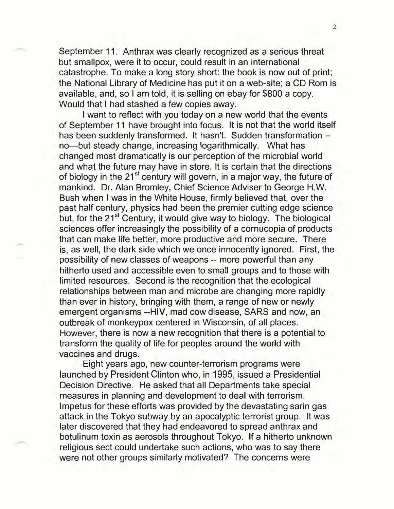September 11. Anthrax was clearly recognized as a serious threat but smallpox, were it to occur, could result in an international catastrophe. To make a long story short: the book is now out of print; the National Library of Medicine has put it on a web-site; a CD Rom is available, and, so I am told, it is selling on ebay for \$800 a copy. Would that I had stashed a few copies away.

I want to reflect with you today on a new world that the events of September 11 have brought into focus. It is not that the world itself has been suddenly transformed. It hasn't. Sudden transformation no-but steady change, increasing logarithmically. What has changed most dramatically is our perception of the microbial world and what the future may have in store. It is certain that the directions of biology in the  $21^{st}$  century will govern, in a major way, the future of mankind. Dr. Alan Bromley, Chief Science Adviser to George H.W. Bush when I was in the White House, firmly believed that, over the past half century, physics had been the premier cutting edge science but, for the 21<sup>st</sup> Century, it would give way to biology. The biological sciences offer increasingly the possibility of a cornucopia of products that can make life better, more productive and more secure. There is, as well, the dark side which we once innocently ignored. First, the possibility of new classes of weapons -- more powerful than any hitherto used and accessible even to small groups and to those with limited resources. Second is the recognition that the ecological relationships between man and microbe are changing more rapidly than ever in history, bringing with them, a range of new or newly emergent organisms --HIV, mad cow disease, SARS and now, an outbreak of monkeypox centered in Wisconsin, of all places. However, there is now a new recognition that there is a potential to transform the quality of life for peoples around the world with vaccines and drugs.

Eight years ago, new counter-terrorism programs were launched by President Clinton who, in 1995, issued a Presidential Decision Directive. He asked that all Departments take special measures in planning and development to deal with terrorism. Impetus for these efforts was provided by the devastating sarin gas attack in the Tokyo subway by an apocalyptic terrorist group. It was later discovered that they had endeavored to spread anthrax and botulinum toxin as aerosols throughout Tokyo. If a hitherto unknown religious sect could undertake such actions, who was to say there were not other groups similarly motivated? The concerns were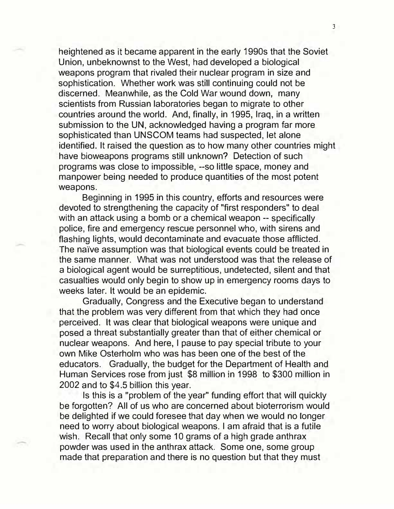heightened as it became apparent in the early 1990s that the Soviet Union, unbeknownst to the West, had developed a biological weapons program that rivaled their nuclear program in size and sophistication. Whether work was still continuing could not be discerned. Meanwhile, as the Cold War wound down, many scientists from Russian laboratories began to migrate to other countries around the world. And, finally, in 1995, Iraq, in a written submission to the UN, acknowledged having a program far more sophisticated than UNSCOM teams had suspected, let alone identified. It raised the question as to how many other countries might have bioweapons programs still unknown? Detection of such programs was close to impossible, --so little space, money and manpower being needed to produce quantities of the most potent weapons.

Beginning in 1995 in this country, efforts and resources were devoted to strengthening the capacity of "first responders" to deal with an attack using a bomb or a chemical weapon -- specifically police, fire and emergency rescue personnel who, with sirens and flashing lights, would decontaminate and evacuate those afflicted. The naïve assumption was that biological events could be treated in the same manner. What was not understood was that the release of a biological agent would be surreptitious, undetected, silent and that casualties would only begin to show up in emergency rooms days to weeks later. It would be an epidemic.

Gradually, Congress and the Executive began to understand that the problem was very different from that which they had once perceived. It was clear that biological weapons were unique and posed a threat substantially greater than that of either chemical or nuclear weapons. And here, I pause to pay special tribute to your own Mike Osterholm who was has been one of the best of the educators. Gradually, the budget for the Department of Health and Human Services rose from just \$8 million in 1998 to \$300 million in 2002 and to \$4.5 billion this year.

Is this is a "problem of the year" funding effort that will quickly be forgotten? All of us who are concerned about bioterrorism would be delighted if we could foresee that day when we would no longer need to worry about biological weapons. I am afraid that is a futile wish. Recall that only some 10 grams of a high grade anthrax powder was used in the anthrax attack. Some one, some group made that preparation and there is no question but that they must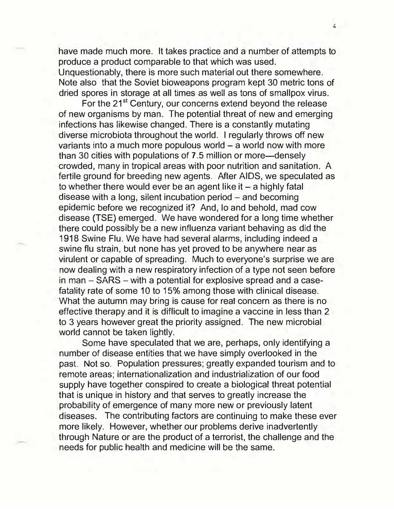have made much more. It takes practice and a number of attempts to produce a product comparable to that which was used. Unquestionably, there is more such material out there somewhere. Note also that the Soviet bioweapons program kept 30 metric tons of dried spores in storage at all times as well as tons of smallpox virus.

For the 21<sup>st</sup> Century, our concerns extend beyond the release of new organisms by man. The potential threat of new and emerging infections has likewise changed. There is a constantly mutating diverse microbiota throughout the world. I regularly throws off new variants into a much more populous world  $-$  a world now with more than 30 cities with populations of 7 .5 million or more-densely crowded, many in tropical areas with poor nutrition and sanitation. A fertile ground for breeding new agents. After AIDS, we speculated as to whether there would ever be an agent like it  $-$  a highly fatal disease with a long, silent incubation period  $-$  and becoming epidemic before we recognized it? And, lo and behold, mad cow disease (TSE) emerged. We have wondered for a long time whether there could possibly be a new influenza variant behaving as did the 1918 Swine Flu. We have had several alarms, including indeed a swine flu strain, but none has yet proved to be anywhere near as virulent or capable of spreading. Much to everyone's surprise we are now dealing with a new respiratory infection of a type not seen before in man - SARS - with a potential for explosive spread and a casefatality rate of some 10 to 15% among those with clinical disease. What the autumn may bring is cause for real concern as there is no effective therapy and it is difficult to imagine a vaccine in less than 2 to 3 years however great the priority assigned. The new microbial world cannot be taken lightly.

Some have speculated that we are, perhaps, only identifying a number of disease entities that we have simply overlooked in the past. Not so. Population pressures; greatly expanded tourism and to remote areas; internationalization and industrialization of our food supply have together conspired to create a biological threat potential that is unique in history and that serves to greatly increase the probability of emergence of many more new or previously latent diseases. The contributing factors are continuing to make these ever more likely. However, whether our problems derive inadvertently through Nature or are the product of a terrorist, the challenge and the needs for public health and medicine will be the same.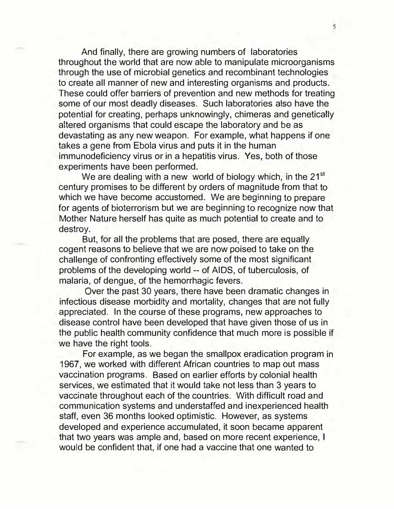And finally, there are growing numbers of laboratories throughout the world that are now able to manipulate microorganisms through the use of microbial genetics and recombinant technologies to create all manner of new and interesting organisms and products. These could offer barriers of prevention and new methods for treating some of our most deadly diseases. Such laboratories also have the potential for creating, perhaps unknowingly, chimeras and genetically altered organisms that could escape the laboratory and be as devastating as any new weapon. For example, what happens if one takes a gene from Ebola virus and puts it in the human immunodeficiency virus or in a hepatitis virus. Yes, both of those experiments have been performed.

We are dealing with a new world of biology which, in the 21<sup>st</sup> century promises to be different by orders of magnitude from that to which we have become accustomed. We are beginning to prepare for agents of bioterrorism but we are beginning to recognize now that Mother Nature herself has quite as much potential to create and to destroy.

But, for all the problems that are posed, there are equally cogent reasons to believe that we are now poised to take on the challenge of confronting effectively some of the most significant problems of the developing world -- of AIDS, of tuberculosis, of malaria, of dengue, of the hemorrhagic fevers.

Over the past 30 years, there have been dramatic changes in infectious disease morbidity and mortality, changes that are not fully appreciated. In the course of these programs, new approaches to disease control have been developed that have given those of us in the public health community confidence that much more is possible if we have the right tools.

For example, as we began the smallpox eradication program in 1967, we worked with different African countries to map out mass vaccination programs. Based on earlier efforts by colonial health services, we estimated that it would take not less than 3 years to vaccinate throughout each of the countries. With difficult road and communication systems and understaffed and inexperienced health staff, even 36 months looked optimistic. However, as systems developed and experience accumulated, it soon became apparent that two years was ample and, based on more recent experience, I would be confident that, if one had a vaccine that one wanted to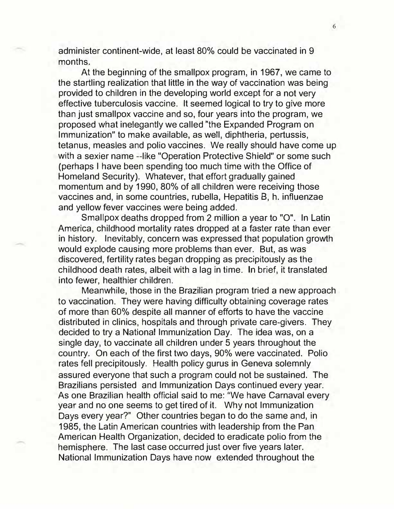administer continent-wide, at least 80% could be vaccinated in 9 months.

At the beginning of the smallpox program, in 1967, we came to the startling realization that little in the way of vaccination was being provided to children in the developing world except for a not very effective tuberculosis vaccine. It seemed logical to try to give more than just smallpox vaccine and so, four years into the program, we proposed what inelegantly we called "the Expanded Program on Immunization" to make available, as well, diphtheria, pertussis, tetanus, measles and polio vaccines. We really should have come up with a sexier name --like "Operation Protective Shield" or some such (perhaps I have been spending too much time with the Office of Homeland Security). Whatever, that effort gradually gained momentum and by 1990, 80% of all children were receiving those vaccines and, in some countries, rubella, Hepatitis 8, h. influenzae and yellow fever vaccines were being added.

Smallpox deaths dropped from 2 million a year to "O". In Latin America, childhood mortality rates dropped at a faster rate than ever in history. Inevitably, concern was expressed that population growth would explode causing more problems than ever. But, as was discovered, fertility rates began dropping as precipitously as the childhood death rates, albeit with a lag in time. In brief, it translated into fewer, healthier children.

Meanwhile, those in the Brazilian program tried a new approach to vaccination. They were having difficulty obtaining coverage rates of more than 60% despite all manner of efforts to have the vaccine distributed in clinics, hospitals and through private care-givers. They decided to try a National Immunization Day. The idea was, on a single day, to vaccinate all children under 5 years throughout the country. On each of the first two days, 90% were vaccinated. Polio rates fell precipitously. Health policy gurus in Geneva solemnly assured everyone that such a program could not be sustained. The Brazilians persisted and Immunization Days continued every year. As one Brazilian health official said to me: "We have Carnaval every year and no one seems to get tired of it. Why not Immunization Days every year?" Other countries began to do the same and, in 1985, the Latin American countries with leadership from the Pan American Health Organization, decided to eradicate polio from the hemisphere. The last case occurred just over five years later. National Immunization Days have now extended throughout the